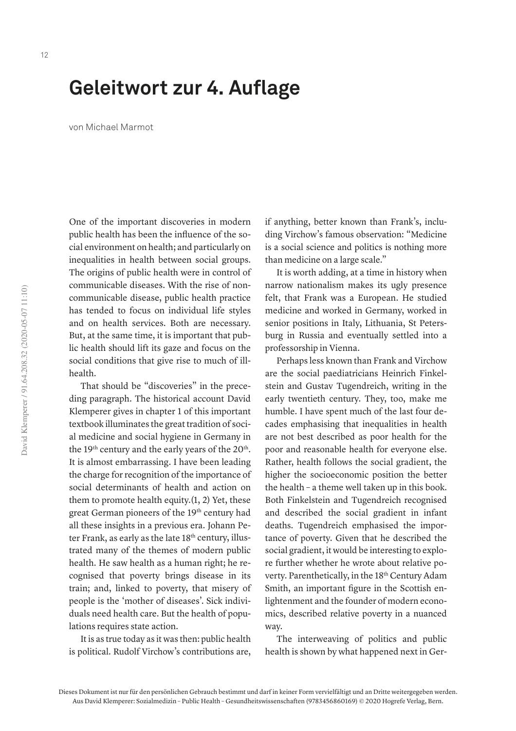## **Geleitwort zur 4. Auflage**

von Michael Marmot

One of the important discoveries in modern public health has been the influence of the social environment on health; and particularly on inequalities in health between social groups. The origins of public health were in control of communicable diseases. With the rise of noncommunicable disease, public health practice has tended to focus on individual life styles and on health services. Both are necessary. But, at the same time, it is important that public health should lift its gaze and focus on the social conditions that give rise to much of illhealth.

That should be "discoveries" in the preceding paragraph. The historical account David Klemperer gives in chapter 1 of this important textbook illuminates the great tradition of social medicine and social hygiene in Germany in the 19<sup>th</sup> century and the early years of the  $20<sup>th</sup>$ . It is almost embarrassing. I have been leading the charge for recognition of the importance of social determinants of health and action on them to promote health equity.(1, 2) Yet, these great German pioneers of the 19<sup>th</sup> century had all these insights in a previous era. Johann Peter Frank, as early as the late 18<sup>th</sup> century, illustrated many of the themes of modern public health. He saw health as a human right; he recognised that poverty brings disease in its train; and, linked to poverty, that misery of people is the 'mother of diseases'. Sick individuals need health care. But the health of populations requires state action.

It is as true today as it was then: public health is political. Rudolf Virchow's contributions are, if anything, better known than Frank's, including Virchow's famous observation: "Medicine is a social science and politics is nothing more than medicine on a large scale."

It is worth adding, at a time in history when narrow nationalism makes its ugly presence felt, that Frank was a European. He studied medicine and worked in Germany, worked in senior positions in Italy, Lithuania, St Petersburg in Russia and eventually settled into a professorship in Vienna.

Perhaps less known than Frank and Virchow are the social paediatricians Heinrich Finkelstein and Gustav Tugendreich, writing in the early twentieth century. They, too, make me humble. I have spent much of the last four decades emphasising that inequalities in health are not best described as poor health for the poor and reasonable health for everyone else. Rather, health follows the social gradient, the higher the socioeconomic position the better the health – a theme well taken up in this book. Both Finkelstein and Tugendreich recognised and described the social gradient in infant deaths. Tugendreich emphasised the importance of poverty. Given that he described the social gradient, it would be interesting to explore further whether he wrote about relative poverty. Parenthetically, in the 18<sup>th</sup> Century Adam Smith, an important figure in the Scottish enlightenment and the founder of modern economics, described relative poverty in a nuanced way.

The interweaving of politics and public health is shown by what happened next in Ger